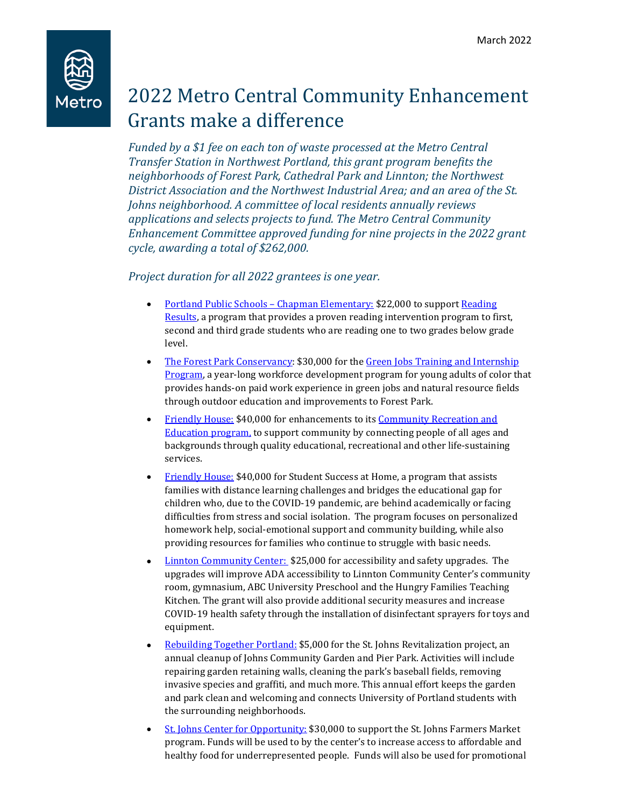

## 2022 Metro Central Community Enhancement Grants make a difference

*Funded by a \$1 fee on each ton of waste processed at the Metro Central Transfer Station in Northwest Portland, this grant program benefits the neighborhoods of Forest Park, Cathedral Park and Linnton; the Northwest District Association and the Northwest Industrial Area; and an area of the St. Johns neighborhood. A committee of local residents annually reviews applications and selects projects to fund. The Metro Central Community Enhancement Committee approved funding for nine projects in the 2022 grant cycle, awarding a total of \$262,000.*

*Project duration for all 2022 grantees is one year.*

- Portland Public Schools Chapman Elementary: \$22,000 to support [Reading](https://readingresultspdx.org/)  [Results,](https://readingresultspdx.org/) a program that provides a proven reading intervention program to first, second and third grade students who are reading one to two grades below grade level.
- [The Forest Park Conservancy:](https://forestparkconservancy.org/) \$30,000 for the Green Jobs Training and Internship [Program,](https://forestparkconservancy.org/conservancy/greenjobs/) a year-long workforce development program for young adults of color that provides hands-on paid work experience in green jobs and natural resource fields through outdoor education and improvements to Forest Park.
- [Friendly House:](https://fhpdx.org/) \$40,000 for enhancements to it[s Community Recreation and](https://fhpdx.org/for-community/)  [Education program,](https://fhpdx.org/for-community/) to support community by connecting people of all ages and backgrounds through quality educational, recreational and other life-sustaining services.
- [Friendly House:](https://fhpdx.org/) \$40,000 for Student Success at Home, a program that assists families with distance learning challenges and bridges the educational gap for children who, due to the COVID-19 pandemic, are behind academically or facing difficulties from stress and social isolation. The program focuses on personalized homework help, social-emotional support and community building, while also providing resources for families who continue to struggle with basic needs.
- **Linnton Community Center:** \$25,000 for accessibility and safety upgrades. The upgrades will improve ADA accessibility to Linnton Community Center's community room, gymnasium, ABC University Preschool and the Hungry Families Teaching Kitchen. The grant will also provide additional security measures and increase COVID-19 health safety through the installation of disinfectant sprayers for toys and equipment.
- [Rebuilding Together Portland:](https://www.rtpdx.org/) \$5,000 for the St. Johns Revitalization project, an annual cleanup of Johns Community Garden and Pier Park. Activities will include repairing garden retaining walls, cleaning the park's baseball fields, removing invasive species and graffiti, and much more. This annual effort keeps the garden and park clean and welcoming and connects University of Portland students with the surrounding neighborhoods.
- [St. Johns Center for Opportunity:](http://www.stjohnsopportunity.org/) \$30,000 to support the St. Johns Farmers Market program. Funds will be used to by the center's to increase access to affordable and healthy food for underrepresented people. Funds will also be used for promotional